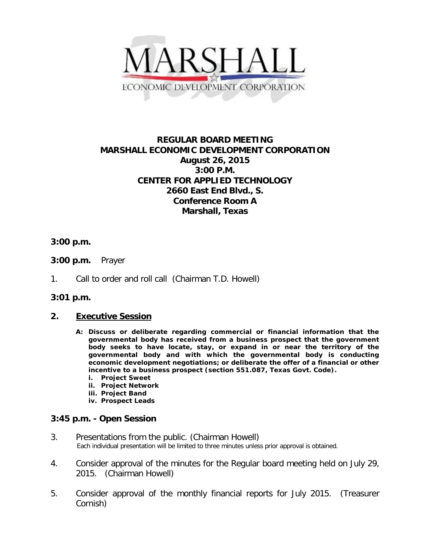

# **REGULAR BOARD MEETING MARSHALL ECONOMIC DEVELOPMENT CORPORATION August 26, 2015 3:00 P.M. CENTER FOR APPLIED TECHNOLOGY 2660 East End Blvd., S. Conference Room A Marshall, Texas**

## **3:00 p.m.**

- **3:00 p.m.** Prayer
- 1. Call to order and roll call (Chairman T.D. Howell)

### **3:01 p.m.**

### **2. Executive Session**

- **A: Discuss or deliberate regarding commercial or financial information that the governmental body has received from a business prospect that the government body seeks to have locate, stay, or expand in or near the territory of the governmental body and with which the governmental body is conducting economic development negotiations; or deliberate the offer of a financial or other incentive to a business prospect (section 551.087, Texas Govt. Code).**
	- **i. Project Sweet**
	- **ii. Project Network**
	- **iii. Project Band**
	- **iv. Prospect Leads**

### **3:45 p.m. - Open Session**

- 3. Presentations from the public. (Chairman Howell)<br>Each individual presentation will be limited to three minutes unless prior approval is obtained.
- 4. Consider approval of the minutes for the Regular board meeting held on July 29, 2015. (Chairman Howell)
- 5. Consider approval of the monthly financial reports for July 2015. (Treasurer Cornish)